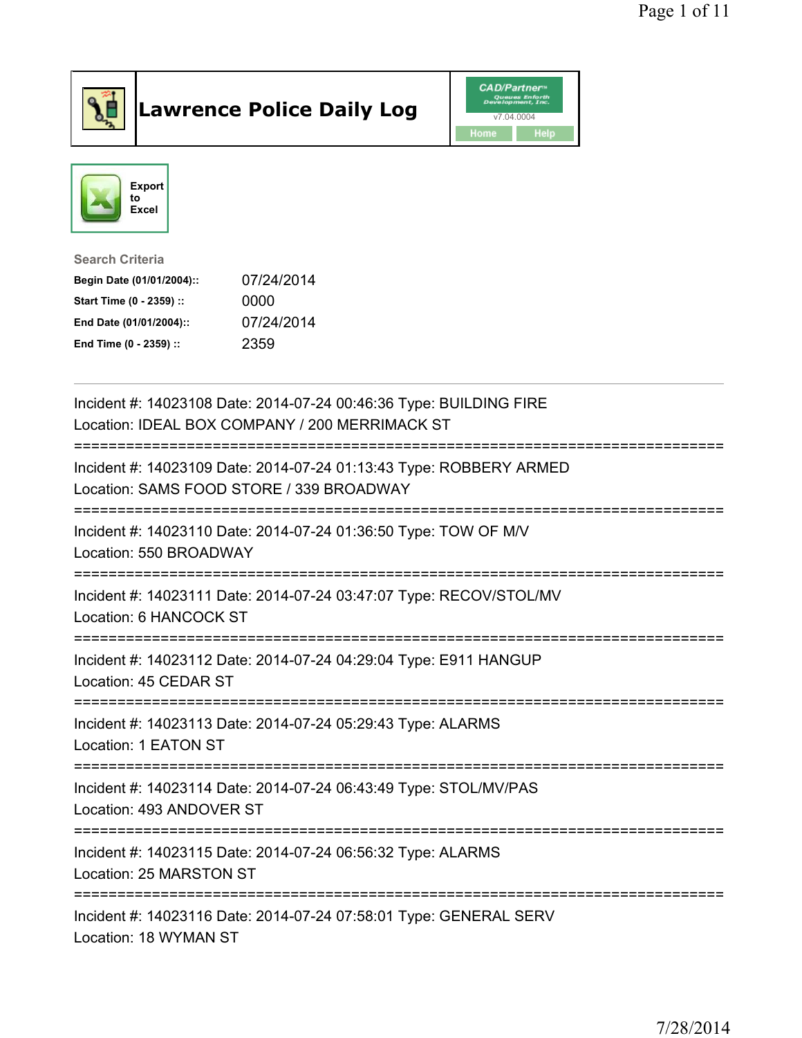

## Lawrence Police Daily Log **Daniel CAD/Partner**





Search Criteria Begin Date (01/01/2004):: 07/24/2014 Start Time (0 - 2359) :: 0000 End Date (01/01/2004):: 07/24/2014 End Time (0 - 2359) :: 2359

| Incident #: 14023108 Date: 2014-07-24 00:46:36 Type: BUILDING FIRE<br>Location: IDEAL BOX COMPANY / 200 MERRIMACK ST   |
|------------------------------------------------------------------------------------------------------------------------|
| Incident #: 14023109 Date: 2014-07-24 01:13:43 Type: ROBBERY ARMED<br>Location: SAMS FOOD STORE / 339 BROADWAY         |
| Incident #: 14023110 Date: 2014-07-24 01:36:50 Type: TOW OF M/V<br>Location: 550 BROADWAY                              |
| Incident #: 14023111 Date: 2014-07-24 03:47:07 Type: RECOV/STOL/MV<br>Location: 6 HANCOCK ST                           |
| Incident #: 14023112 Date: 2014-07-24 04:29:04 Type: E911 HANGUP<br>Location: 45 CEDAR ST                              |
| Incident #: 14023113 Date: 2014-07-24 05:29:43 Type: ALARMS<br>Location: 1 EATON ST<br>------------------------------- |
| Incident #: 14023114 Date: 2014-07-24 06:43:49 Type: STOL/MV/PAS<br>Location: 493 ANDOVER ST                           |
| Incident #: 14023115 Date: 2014-07-24 06:56:32 Type: ALARMS<br>Location: 25 MARSTON ST                                 |
| Incident #: 14023116 Date: 2014-07-24 07:58:01 Type: GENERAL SERV<br>Location: 18 WYMAN ST                             |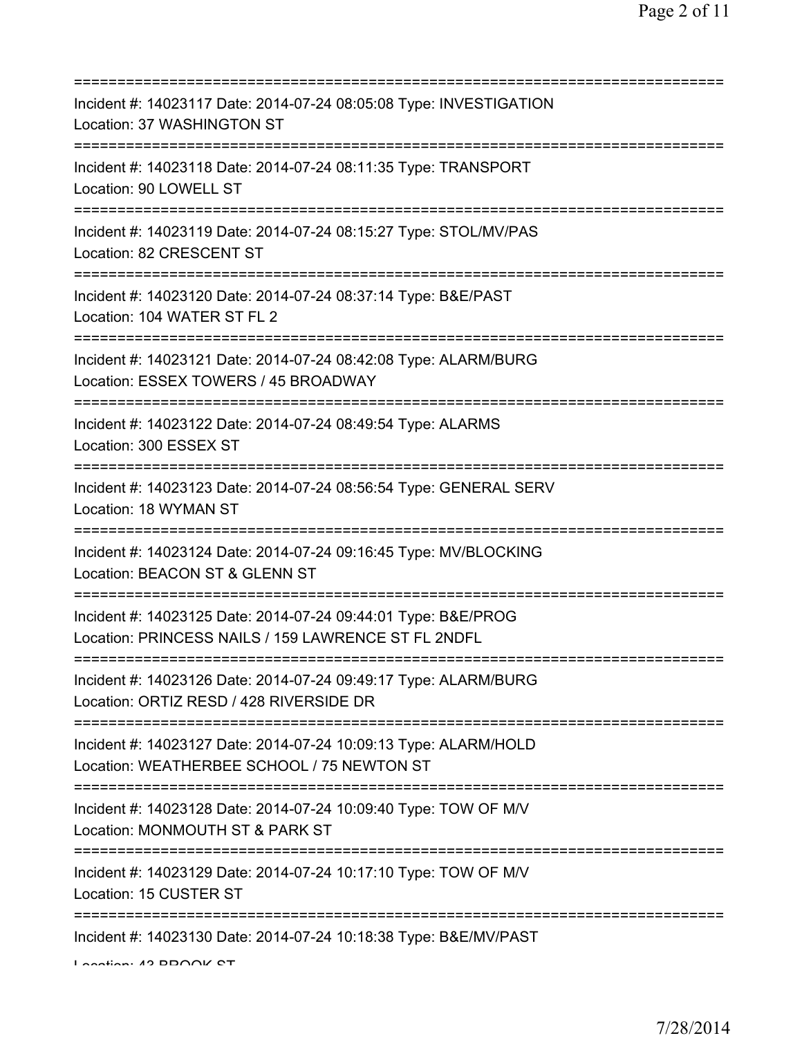| Incident #: 14023117 Date: 2014-07-24 08:05:08 Type: INVESTIGATION<br>Location: 37 WASHINGTON ST                                |
|---------------------------------------------------------------------------------------------------------------------------------|
| Incident #: 14023118 Date: 2014-07-24 08:11:35 Type: TRANSPORT<br>Location: 90 LOWELL ST                                        |
| Incident #: 14023119 Date: 2014-07-24 08:15:27 Type: STOL/MV/PAS<br>Location: 82 CRESCENT ST                                    |
| Incident #: 14023120 Date: 2014-07-24 08:37:14 Type: B&E/PAST<br>Location: 104 WATER ST FL 2                                    |
| Incident #: 14023121 Date: 2014-07-24 08:42:08 Type: ALARM/BURG<br>Location: ESSEX TOWERS / 45 BROADWAY                         |
| Incident #: 14023122 Date: 2014-07-24 08:49:54 Type: ALARMS<br>Location: 300 ESSEX ST<br>================================       |
| Incident #: 14023123 Date: 2014-07-24 08:56:54 Type: GENERAL SERV<br>Location: 18 WYMAN ST<br>================================= |
| Incident #: 14023124 Date: 2014-07-24 09:16:45 Type: MV/BLOCKING<br>Location: BEACON ST & GLENN ST<br>=================         |
| Incident #: 14023125 Date: 2014-07-24 09:44:01 Type: B&E/PROG<br>Location: PRINCESS NAILS / 159 LAWRENCE ST FL 2NDFL            |
| Incident #: 14023126 Date: 2014-07-24 09:49:17 Type: ALARM/BURG<br>Location: ORTIZ RESD / 428 RIVERSIDE DR                      |
| Incident #: 14023127 Date: 2014-07-24 10:09:13 Type: ALARM/HOLD<br>Location: WEATHERBEE SCHOOL / 75 NEWTON ST                   |
| Incident #: 14023128 Date: 2014-07-24 10:09:40 Type: TOW OF M/V<br>Location: MONMOUTH ST & PARK ST                              |
| Incident #: 14023129 Date: 2014-07-24 10:17:10 Type: TOW OF M/V<br>Location: 15 CUSTER ST                                       |
| Incident #: 14023130 Date: 2014-07-24 10:18:38 Type: B&E/MV/PAST                                                                |

Location: 49 BROOK CT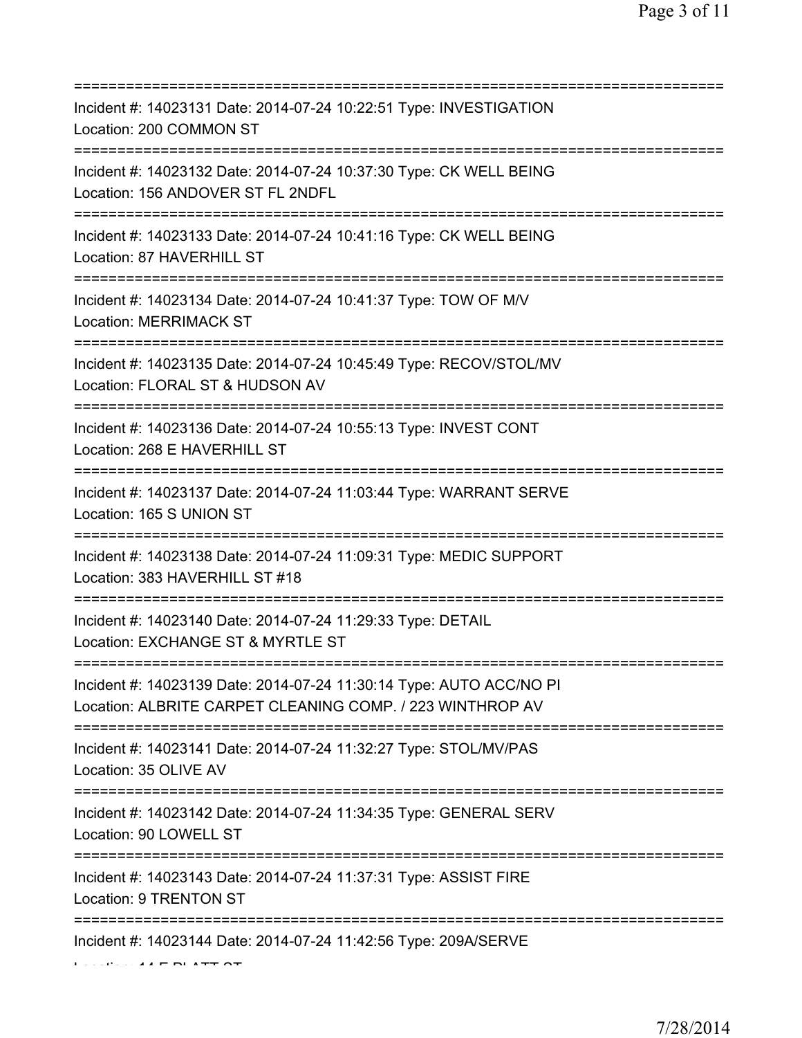| Incident #: 14023131 Date: 2014-07-24 10:22:51 Type: INVESTIGATION<br>Location: 200 COMMON ST                                                  |
|------------------------------------------------------------------------------------------------------------------------------------------------|
| Incident #: 14023132 Date: 2014-07-24 10:37:30 Type: CK WELL BEING<br>Location: 156 ANDOVER ST FL 2NDFL<br>============================        |
| Incident #: 14023133 Date: 2014-07-24 10:41:16 Type: CK WELL BEING<br>Location: 87 HAVERHILL ST                                                |
| Incident #: 14023134 Date: 2014-07-24 10:41:37 Type: TOW OF M/V<br><b>Location: MERRIMACK ST</b><br>=====================================      |
| Incident #: 14023135 Date: 2014-07-24 10:45:49 Type: RECOV/STOL/MV<br>Location: FLORAL ST & HUDSON AV                                          |
| Incident #: 14023136 Date: 2014-07-24 10:55:13 Type: INVEST CONT<br>Location: 268 E HAVERHILL ST                                               |
| Incident #: 14023137 Date: 2014-07-24 11:03:44 Type: WARRANT SERVE<br>Location: 165 S UNION ST<br>===================================          |
| Incident #: 14023138 Date: 2014-07-24 11:09:31 Type: MEDIC SUPPORT<br>Location: 383 HAVERHILL ST #18<br>====================================== |
| Incident #: 14023140 Date: 2014-07-24 11:29:33 Type: DETAIL<br>Location: EXCHANGE ST & MYRTLE ST                                               |
| Incident #: 14023139 Date: 2014-07-24 11:30:14 Type: AUTO ACC/NO PI<br>Location: ALBRITE CARPET CLEANING COMP. / 223 WINTHROP AV               |
| Incident #: 14023141 Date: 2014-07-24 11:32:27 Type: STOL/MV/PAS<br>Location: 35 OLIVE AV                                                      |
| Incident #: 14023142 Date: 2014-07-24 11:34:35 Type: GENERAL SERV<br>Location: 90 LOWELL ST<br>===================================             |
| Incident #: 14023143 Date: 2014-07-24 11:37:31 Type: ASSIST FIRE<br>Location: 9 TRENTON ST                                                     |
| Incident #: 14023144 Date: 2014-07-24 11:42:56 Type: 209A/SERVE                                                                                |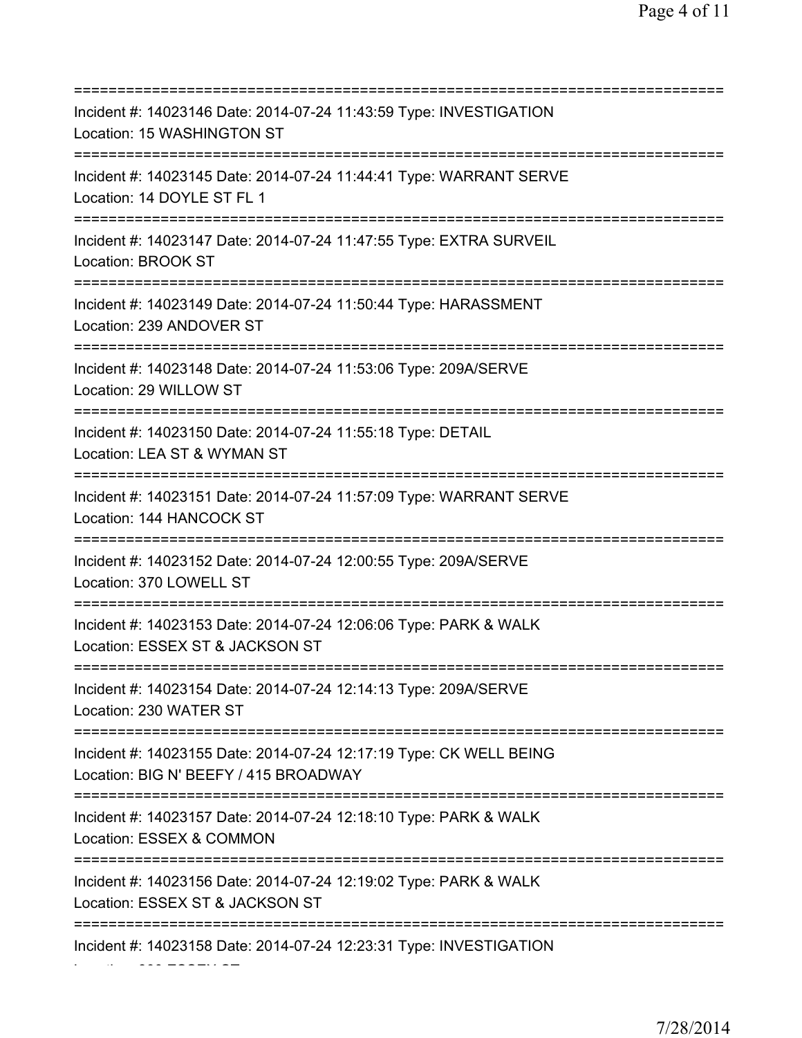=========================================================================== Incident #: 14023146 Date: 2014-07-24 11:43:59 Type: INVESTIGATION Location: 15 WASHINGTON ST =========================================================================== Incident #: 14023145 Date: 2014-07-24 11:44:41 Type: WARRANT SERVE Location: 14 DOYLE ST FL 1 =========================================================================== Incident #: 14023147 Date: 2014-07-24 11:47:55 Type: EXTRA SURVEIL Location: BROOK ST =========================================================================== Incident #: 14023149 Date: 2014-07-24 11:50:44 Type: HARASSMENT Location: 239 ANDOVER ST =========================================================================== Incident #: 14023148 Date: 2014-07-24 11:53:06 Type: 209A/SERVE Location: 29 WILLOW ST =========================================================================== Incident #: 14023150 Date: 2014-07-24 11:55:18 Type: DETAIL Location: LEA ST & WYMAN ST =========================================================================== Incident #: 14023151 Date: 2014-07-24 11:57:09 Type: WARRANT SERVE Location: 144 HANCOCK ST =========================================================================== Incident #: 14023152 Date: 2014-07-24 12:00:55 Type: 209A/SERVE Location: 370 LOWELL ST =========================================================================== Incident #: 14023153 Date: 2014-07-24 12:06:06 Type: PARK & WALK Location: ESSEX ST & JACKSON ST =========================================================================== Incident #: 14023154 Date: 2014-07-24 12:14:13 Type: 209A/SERVE Location: 230 WATER ST =========================================================================== Incident #: 14023155 Date: 2014-07-24 12:17:19 Type: CK WELL BEING Location: BIG N' BEEFY / 415 BROADWAY =========================================================================== Incident #: 14023157 Date: 2014-07-24 12:18:10 Type: PARK & WALK Location: ESSEX & COMMON =========================================================================== Incident #: 14023156 Date: 2014-07-24 12:19:02 Type: PARK & WALK Location: ESSEX ST & JACKSON ST =========================================================================== Incident #: 14023158 Date: 2014-07-24 12:23:31 Type: INVESTIGATION

Location: 800 ESSEX ST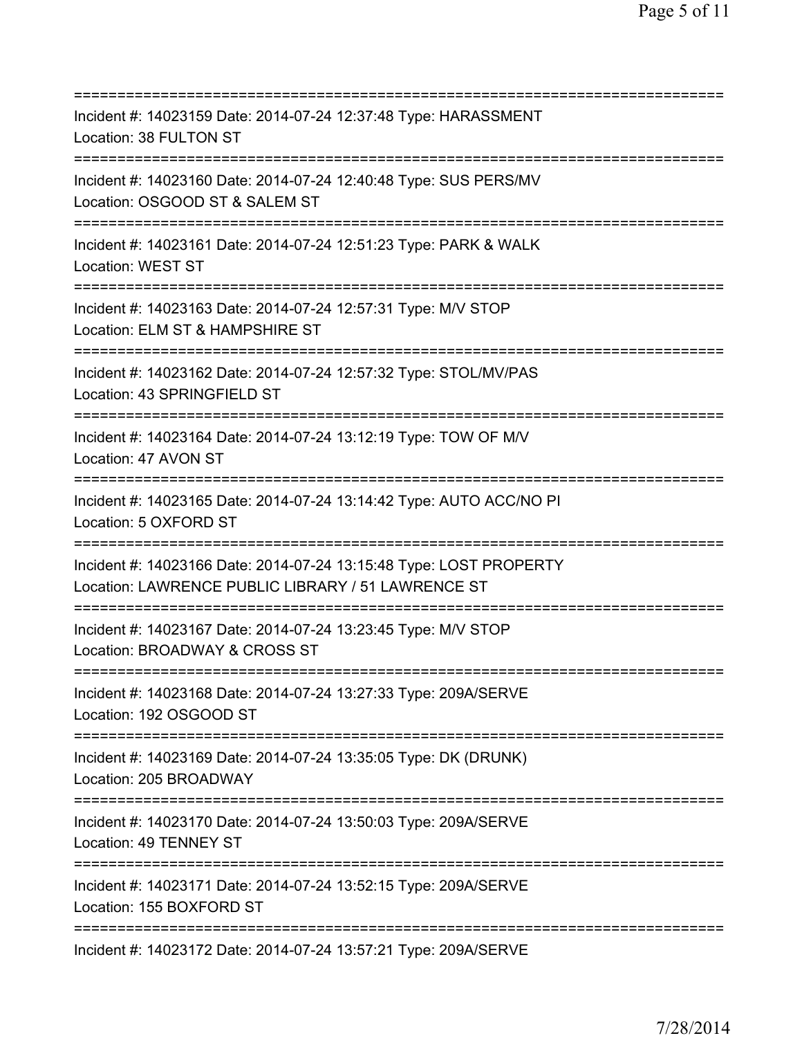| Incident #: 14023159 Date: 2014-07-24 12:37:48 Type: HARASSMENT<br>Location: 38 FULTON ST                                               |
|-----------------------------------------------------------------------------------------------------------------------------------------|
| Incident #: 14023160 Date: 2014-07-24 12:40:48 Type: SUS PERS/MV<br>Location: OSGOOD ST & SALEM ST                                      |
| Incident #: 14023161 Date: 2014-07-24 12:51:23 Type: PARK & WALK<br>Location: WEST ST                                                   |
| Incident #: 14023163 Date: 2014-07-24 12:57:31 Type: M/V STOP<br>Location: ELM ST & HAMPSHIRE ST                                        |
| Incident #: 14023162 Date: 2014-07-24 12:57:32 Type: STOL/MV/PAS<br>Location: 43 SPRINGFIELD ST<br>==================================== |
| Incident #: 14023164 Date: 2014-07-24 13:12:19 Type: TOW OF M/V<br>Location: 47 AVON ST<br>;=============================               |
| Incident #: 14023165 Date: 2014-07-24 13:14:42 Type: AUTO ACC/NO PI<br>Location: 5 OXFORD ST                                            |
| Incident #: 14023166 Date: 2014-07-24 13:15:48 Type: LOST PROPERTY<br>Location: LAWRENCE PUBLIC LIBRARY / 51 LAWRENCE ST                |
| Incident #: 14023167 Date: 2014-07-24 13:23:45 Type: M/V STOP<br>Location: BROADWAY & CROSS ST                                          |
| Incident #: 14023168 Date: 2014-07-24 13:27:33 Type: 209A/SERVE<br>Location: 192 OSGOOD ST                                              |
| Incident #: 14023169 Date: 2014-07-24 13:35:05 Type: DK (DRUNK)<br>Location: 205 BROADWAY<br>===================================        |
| Incident #: 14023170 Date: 2014-07-24 13:50:03 Type: 209A/SERVE<br>Location: 49 TENNEY ST<br>;===============================           |
| Incident #: 14023171 Date: 2014-07-24 13:52:15 Type: 209A/SERVE<br>Location: 155 BOXFORD ST                                             |
| Incident #: 14023172 Date: 2014-07-24 13:57:21 Type: 209A/SERVE                                                                         |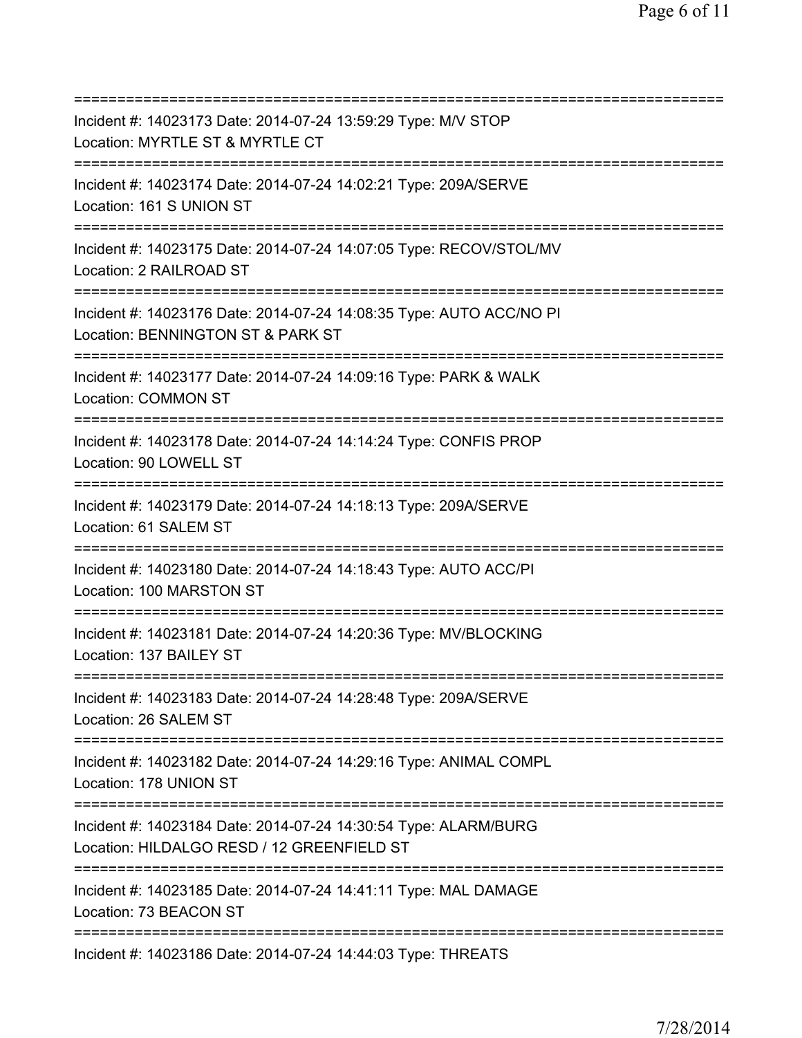| Incident #: 14023173 Date: 2014-07-24 13:59:29 Type: M/V STOP<br>Location: MYRTLE ST & MYRTLE CT                           |
|----------------------------------------------------------------------------------------------------------------------------|
| Incident #: 14023174 Date: 2014-07-24 14:02:21 Type: 209A/SERVE<br>Location: 161 S UNION ST                                |
| Incident #: 14023175 Date: 2014-07-24 14:07:05 Type: RECOV/STOL/MV<br>Location: 2 RAILROAD ST                              |
| Incident #: 14023176 Date: 2014-07-24 14:08:35 Type: AUTO ACC/NO PI<br>Location: BENNINGTON ST & PARK ST                   |
| Incident #: 14023177 Date: 2014-07-24 14:09:16 Type: PARK & WALK<br>Location: COMMON ST<br>;============================== |
| Incident #: 14023178 Date: 2014-07-24 14:14:24 Type: CONFIS PROP<br>Location: 90 LOWELL ST                                 |
| Incident #: 14023179 Date: 2014-07-24 14:18:13 Type: 209A/SERVE<br>Location: 61 SALEM ST                                   |
| Incident #: 14023180 Date: 2014-07-24 14:18:43 Type: AUTO ACC/PI<br>Location: 100 MARSTON ST                               |
| Incident #: 14023181 Date: 2014-07-24 14:20:36 Type: MV/BLOCKING<br>Location: 137 BAILEY ST                                |
| Incident #: 14023183 Date: 2014-07-24 14:28:48 Type: 209A/SERVE<br>Location: 26 SALEM ST                                   |
| =========================<br>Incident #: 14023182 Date: 2014-07-24 14:29:16 Type: ANIMAL COMPL<br>Location: 178 UNION ST   |
| Incident #: 14023184 Date: 2014-07-24 14:30:54 Type: ALARM/BURG<br>Location: HILDALGO RESD / 12 GREENFIELD ST              |
| Incident #: 14023185 Date: 2014-07-24 14:41:11 Type: MAL DAMAGE<br>Location: 73 BEACON ST                                  |
| Incident #: 14023186 Date: 2014-07-24 14:44:03 Type: THREATS                                                               |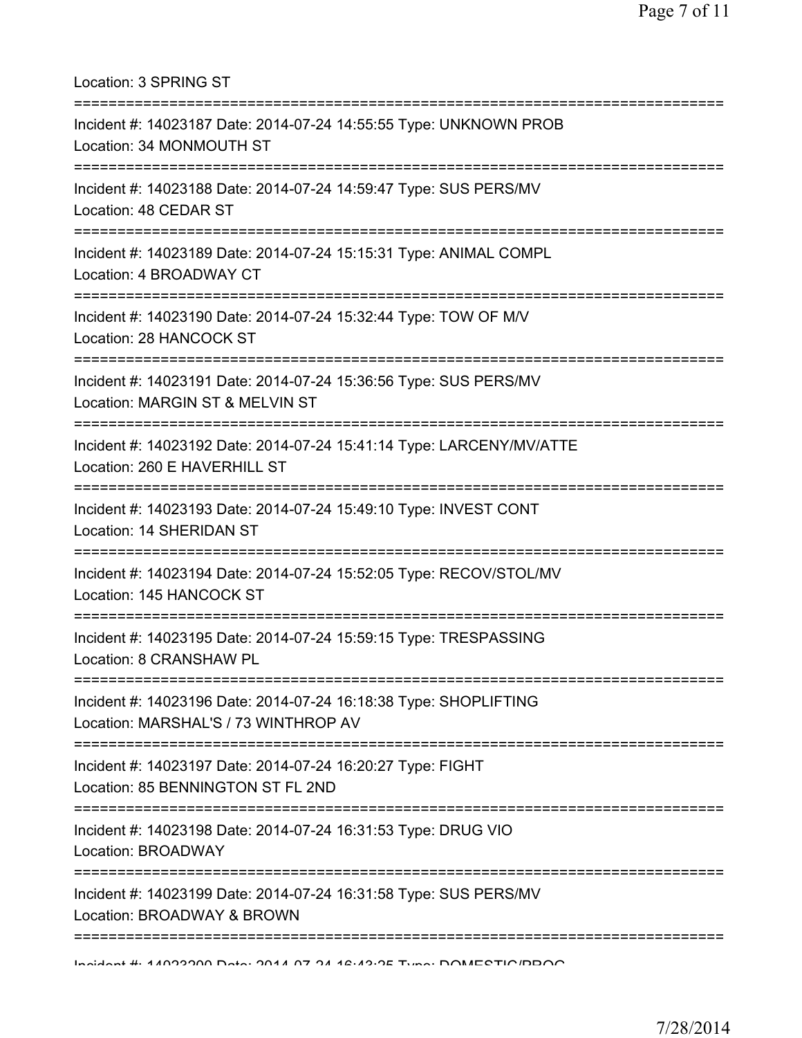Location: 3 SPRING ST =========================================================================== Incident #: 14023187 Date: 2014-07-24 14:55:55 Type: UNKNOWN PROB Location: 34 MONMOUTH ST =========================================================================== Incident #: 14023188 Date: 2014-07-24 14:59:47 Type: SUS PERS/MV Location: 48 CEDAR ST =========================================================================== Incident #: 14023189 Date: 2014-07-24 15:15:31 Type: ANIMAL COMPL Location: 4 BROADWAY CT =========================================================================== Incident #: 14023190 Date: 2014-07-24 15:32:44 Type: TOW OF M/V Location: 28 HANCOCK ST =========================================================================== Incident #: 14023191 Date: 2014-07-24 15:36:56 Type: SUS PERS/MV Location: MARGIN ST & MELVIN ST =========================================================================== Incident #: 14023192 Date: 2014-07-24 15:41:14 Type: LARCENY/MV/ATTE Location: 260 E HAVERHILL ST =========================================================================== Incident #: 14023193 Date: 2014-07-24 15:49:10 Type: INVEST CONT Location: 14 SHERIDAN ST =========================================================================== Incident #: 14023194 Date: 2014-07-24 15:52:05 Type: RECOV/STOL/MV Location: 145 HANCOCK ST =========================================================================== Incident #: 14023195 Date: 2014-07-24 15:59:15 Type: TRESPASSING Location: 8 CRANSHAW PL =========================================================================== Incident #: 14023196 Date: 2014-07-24 16:18:38 Type: SHOPLIFTING Location: MARSHAL'S / 73 WINTHROP AV =========================================================================== Incident #: 14023197 Date: 2014-07-24 16:20:27 Type: FIGHT Location: 85 BENNINGTON ST FL 2ND =========================================================================== Incident #: 14023198 Date: 2014-07-24 16:31:53 Type: DRUG VIO Location: BROADWAY =========================================================================== Incident #: 14023199 Date: 2014-07-24 16:31:58 Type: SUS PERS/MV Location: BROADWAY & BROWN =========================================================================== Incident #: 14023200 Date: 2014 07 24 16:43:25 Type: DOMESTIC/PROG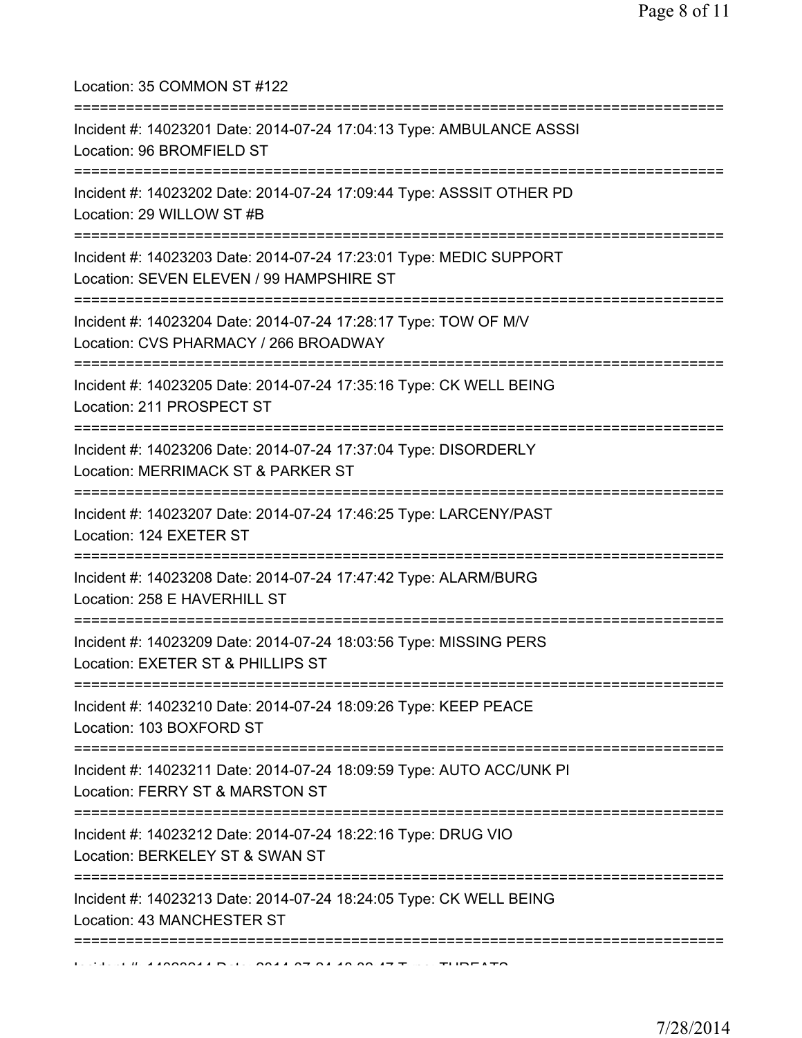Location: 35 COMMON ST #122

| Incident #: 14023201 Date: 2014-07-24 17:04:13 Type: AMBULANCE ASSSI<br>Location: 96 BROMFIELD ST              |
|----------------------------------------------------------------------------------------------------------------|
| Incident #: 14023202 Date: 2014-07-24 17:09:44 Type: ASSSIT OTHER PD<br>Location: 29 WILLOW ST #B              |
| Incident #: 14023203 Date: 2014-07-24 17:23:01 Type: MEDIC SUPPORT<br>Location: SEVEN ELEVEN / 99 HAMPSHIRE ST |
| Incident #: 14023204 Date: 2014-07-24 17:28:17 Type: TOW OF M/V<br>Location: CVS PHARMACY / 266 BROADWAY       |
| Incident #: 14023205 Date: 2014-07-24 17:35:16 Type: CK WELL BEING<br>Location: 211 PROSPECT ST                |
| Incident #: 14023206 Date: 2014-07-24 17:37:04 Type: DISORDERLY<br>Location: MERRIMACK ST & PARKER ST          |
| Incident #: 14023207 Date: 2014-07-24 17:46:25 Type: LARCENY/PAST<br>Location: 124 EXETER ST                   |
| Incident #: 14023208 Date: 2014-07-24 17:47:42 Type: ALARM/BURG<br>Location: 258 E HAVERHILL ST                |
| Incident #: 14023209 Date: 2014-07-24 18:03:56 Type: MISSING PERS<br>Location: EXETER ST & PHILLIPS ST         |
| Incident #: 14023210 Date: 2014-07-24 18:09:26 Type: KEEP PEACE<br>Location: 103 BOXFORD ST                    |
| Incident #: 14023211 Date: 2014-07-24 18:09:59 Type: AUTO ACC/UNK PI<br>Location: FERRY ST & MARSTON ST        |
| Incident #: 14023212 Date: 2014-07-24 18:22:16 Type: DRUG VIO<br>Location: BERKELEY ST & SWAN ST               |
| Incident #: 14023213 Date: 2014-07-24 18:24:05 Type: CK WELL BEING<br>Location: 43 MANCHESTER ST               |
|                                                                                                                |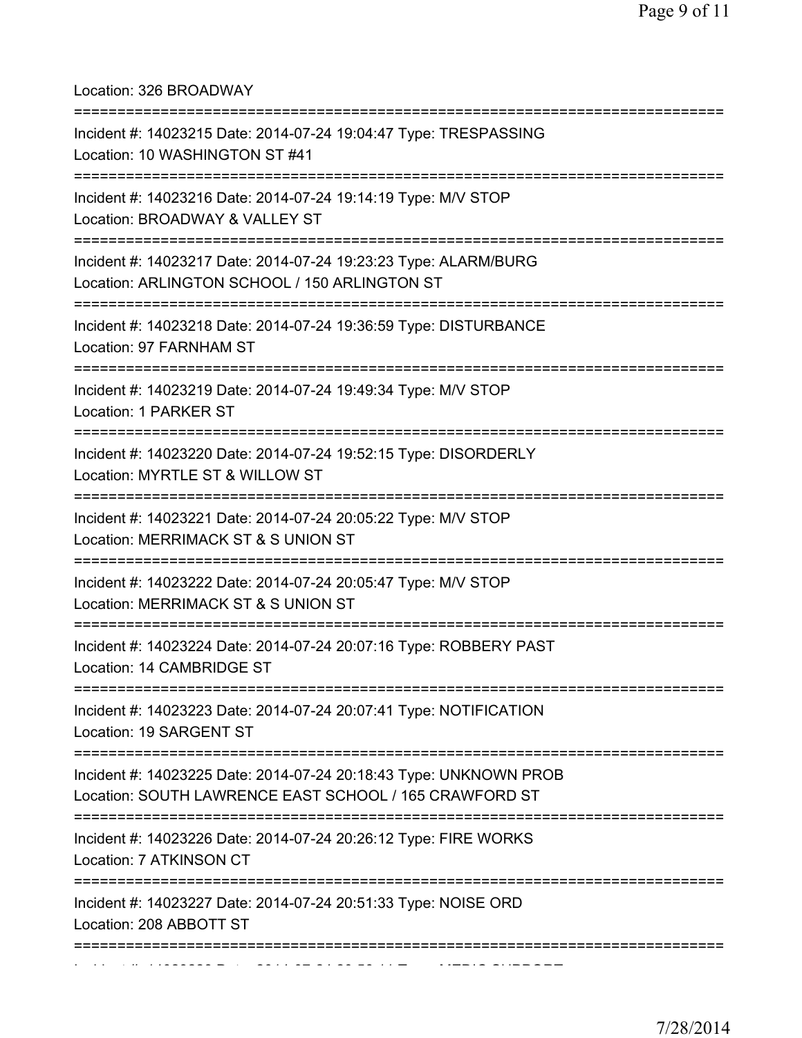Location: 326 BROADWAY

| Incident #: 14023215 Date: 2014-07-24 19:04:47 Type: TRESPASSING<br>Location: 10 WASHINGTON ST #41                               |
|----------------------------------------------------------------------------------------------------------------------------------|
| Incident #: 14023216 Date: 2014-07-24 19:14:19 Type: M/V STOP<br>Location: BROADWAY & VALLEY ST                                  |
| Incident #: 14023217 Date: 2014-07-24 19:23:23 Type: ALARM/BURG<br>Location: ARLINGTON SCHOOL / 150 ARLINGTON ST                 |
| Incident #: 14023218 Date: 2014-07-24 19:36:59 Type: DISTURBANCE<br>Location: 97 FARNHAM ST                                      |
| Incident #: 14023219 Date: 2014-07-24 19:49:34 Type: M/V STOP<br>Location: 1 PARKER ST                                           |
| Incident #: 14023220 Date: 2014-07-24 19:52:15 Type: DISORDERLY<br>Location: MYRTLE ST & WILLOW ST                               |
| Incident #: 14023221 Date: 2014-07-24 20:05:22 Type: M/V STOP<br>Location: MERRIMACK ST & S UNION ST<br>:======================= |
| Incident #: 14023222 Date: 2014-07-24 20:05:47 Type: M/V STOP<br>Location: MERRIMACK ST & S UNION ST                             |
| Incident #: 14023224 Date: 2014-07-24 20:07:16 Type: ROBBERY PAST<br>Location: 14 CAMBRIDGE ST                                   |
| Incident #: 14023223 Date: 2014-07-24 20:07:41 Type: NOTIFICATION<br>Location: 19 SARGENT ST                                     |
| Incident #: 14023225 Date: 2014-07-24 20:18:43 Type: UNKNOWN PROB<br>Location: SOUTH LAWRENCE EAST SCHOOL / 165 CRAWFORD ST      |
| Incident #: 14023226 Date: 2014-07-24 20:26:12 Type: FIRE WORKS<br>Location: 7 ATKINSON CT                                       |
| Incident #: 14023227 Date: 2014-07-24 20:51:33 Type: NOISE ORD<br>Location: 208 ABBOTT ST                                        |
|                                                                                                                                  |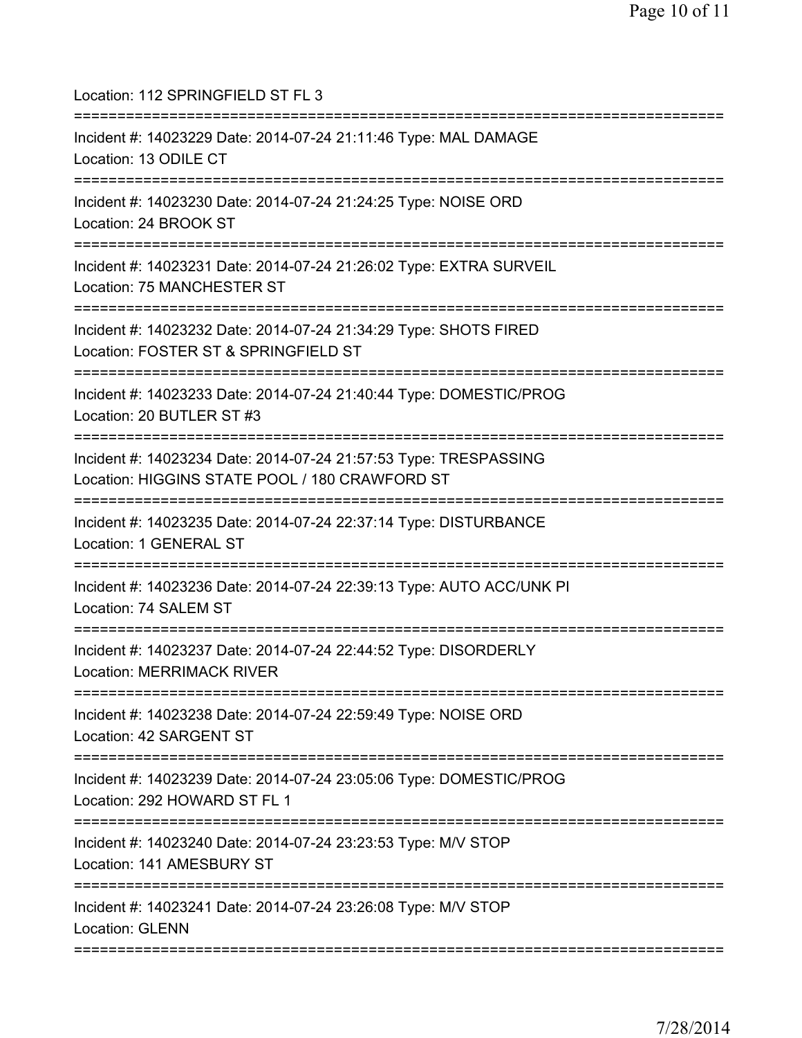| Location: 112 SPRINGFIELD ST FL 3                                                                                     |
|-----------------------------------------------------------------------------------------------------------------------|
| Incident #: 14023229 Date: 2014-07-24 21:11:46 Type: MAL DAMAGE<br>Location: 13 ODILE CT                              |
| Incident #: 14023230 Date: 2014-07-24 21:24:25 Type: NOISE ORD<br>Location: 24 BROOK ST                               |
| Incident #: 14023231 Date: 2014-07-24 21:26:02 Type: EXTRA SURVEIL<br>Location: 75 MANCHESTER ST                      |
| Incident #: 14023232 Date: 2014-07-24 21:34:29 Type: SHOTS FIRED<br>Location: FOSTER ST & SPRINGFIELD ST              |
| Incident #: 14023233 Date: 2014-07-24 21:40:44 Type: DOMESTIC/PROG<br>Location: 20 BUTLER ST #3                       |
| Incident #: 14023234 Date: 2014-07-24 21:57:53 Type: TRESPASSING<br>Location: HIGGINS STATE POOL / 180 CRAWFORD ST    |
| Incident #: 14023235 Date: 2014-07-24 22:37:14 Type: DISTURBANCE<br>Location: 1 GENERAL ST                            |
| Incident #: 14023236 Date: 2014-07-24 22:39:13 Type: AUTO ACC/UNK PI<br>Location: 74 SALEM ST                         |
| Incident #: 14023237 Date: 2014-07-24 22:44:52 Type: DISORDERLY<br><b>Location: MERRIMACK RIVER</b><br>============== |
| Incident #: 14023238 Date: 2014-07-24 22:59:49 Type: NOISE ORD<br>Location: 42 SARGENT ST                             |
| Incident #: 14023239 Date: 2014-07-24 23:05:06 Type: DOMESTIC/PROG<br>Location: 292 HOWARD ST FL 1                    |
| Incident #: 14023240 Date: 2014-07-24 23:23:53 Type: M/V STOP<br>Location: 141 AMESBURY ST                            |
| Incident #: 14023241 Date: 2014-07-24 23:26:08 Type: M/V STOP<br>Location: GLENN                                      |